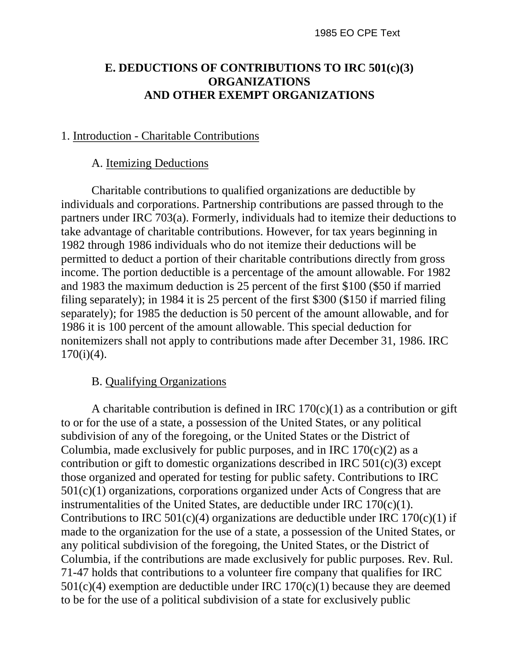# **E. DEDUCTIONS OF CONTRIBUTIONS TO IRC 501(c)(3) ORGANIZATIONS AND OTHER EXEMPT ORGANIZATIONS**

### 1. Introduction - Charitable Contributions

#### A. Itemizing Deductions

Charitable contributions to qualified organizations are deductible by individuals and corporations. Partnership contributions are passed through to the partners under IRC 703(a). Formerly, individuals had to itemize their deductions to take advantage of charitable contributions. However, for tax years beginning in 1982 through 1986 individuals who do not itemize their deductions will be permitted to deduct a portion of their charitable contributions directly from gross income. The portion deductible is a percentage of the amount allowable. For 1982 and 1983 the maximum deduction is 25 percent of the first \$100 (\$50 if married filing separately); in 1984 it is 25 percent of the first \$300 (\$150 if married filing separately); for 1985 the deduction is 50 percent of the amount allowable, and for 1986 it is 100 percent of the amount allowable. This special deduction for nonitemizers shall not apply to contributions made after December 31, 1986. IRC  $170(i)(4)$ .

### B. Qualifying Organizations

A charitable contribution is defined in IRC  $170(c)(1)$  as a contribution or gift to or for the use of a state, a possession of the United States, or any political subdivision of any of the foregoing, or the United States or the District of Columbia, made exclusively for public purposes, and in IRC  $170(c)(2)$  as a contribution or gift to domestic organizations described in IRC  $501(c)(3)$  except those organized and operated for testing for public safety. Contributions to IRC 501(c)(1) organizations, corporations organized under Acts of Congress that are instrumentalities of the United States, are deductible under IRC  $170(c)(1)$ . Contributions to IRC 501(c)(4) organizations are deductible under IRC 170(c)(1) if made to the organization for the use of a state, a possession of the United States, or any political subdivision of the foregoing, the United States, or the District of Columbia, if the contributions are made exclusively for public purposes. Rev. Rul. 71-47 holds that contributions to a volunteer fire company that qualifies for IRC  $501(c)(4)$  exemption are deductible under IRC  $170(c)(1)$  because they are deemed to be for the use of a political subdivision of a state for exclusively public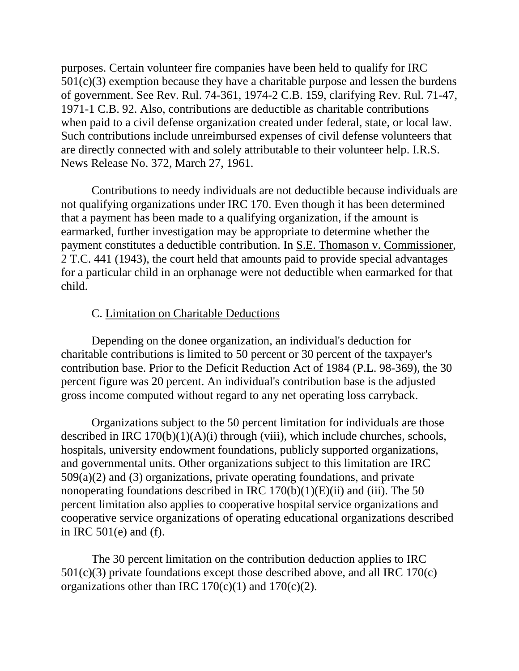purposes. Certain volunteer fire companies have been held to qualify for IRC  $501(c)(3)$  exemption because they have a charitable purpose and lessen the burdens of government. See Rev. Rul. 74-361, 1974-2 C.B. 159, clarifying Rev. Rul. 71-47, 1971-1 C.B. 92. Also, contributions are deductible as charitable contributions when paid to a civil defense organization created under federal, state, or local law. Such contributions include unreimbursed expenses of civil defense volunteers that are directly connected with and solely attributable to their volunteer help. I.R.S. News Release No. 372, March 27, 1961.

Contributions to needy individuals are not deductible because individuals are not qualifying organizations under IRC 170. Even though it has been determined that a payment has been made to a qualifying organization, if the amount is earmarked, further investigation may be appropriate to determine whether the payment constitutes a deductible contribution. In S.E. Thomason v. Commissioner, 2 T.C. 441 (1943), the court held that amounts paid to provide special advantages for a particular child in an orphanage were not deductible when earmarked for that child.

# C. Limitation on Charitable Deductions

Depending on the donee organization, an individual's deduction for charitable contributions is limited to 50 percent or 30 percent of the taxpayer's contribution base. Prior to the Deficit Reduction Act of 1984 (P.L. 98-369), the 30 percent figure was 20 percent. An individual's contribution base is the adjusted gross income computed without regard to any net operating loss carryback.

Organizations subject to the 50 percent limitation for individuals are those described in IRC  $170(b)(1)(A)(i)$  through (viii), which include churches, schools, hospitals, university endowment foundations, publicly supported organizations, and governmental units. Other organizations subject to this limitation are IRC 509(a)(2) and (3) organizations, private operating foundations, and private nonoperating foundations described in IRC  $170(b)(1)(E)(ii)$  and (iii). The 50 percent limitation also applies to cooperative hospital service organizations and cooperative service organizations of operating educational organizations described in IRC 501(e) and (f).

The 30 percent limitation on the contribution deduction applies to IRC 501(c)(3) private foundations except those described above, and all IRC 170(c) organizations other than IRC  $170(c)(1)$  and  $170(c)(2)$ .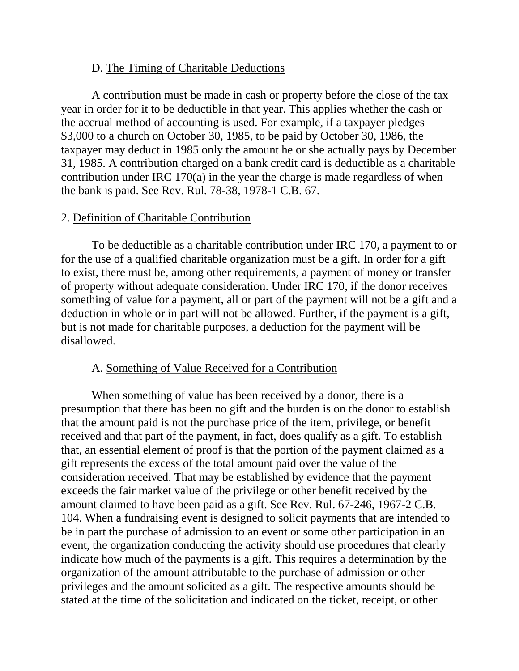### D. The Timing of Charitable Deductions

A contribution must be made in cash or property before the close of the tax year in order for it to be deductible in that year. This applies whether the cash or the accrual method of accounting is used. For example, if a taxpayer pledges \$3,000 to a church on October 30, 1985, to be paid by October 30, 1986, the taxpayer may deduct in 1985 only the amount he or she actually pays by December 31, 1985. A contribution charged on a bank credit card is deductible as a charitable contribution under IRC 170(a) in the year the charge is made regardless of when the bank is paid. See Rev. Rul. 78-38, 1978-1 C.B. 67.

#### 2. Definition of Charitable Contribution

To be deductible as a charitable contribution under IRC 170, a payment to or for the use of a qualified charitable organization must be a gift. In order for a gift to exist, there must be, among other requirements, a payment of money or transfer of property without adequate consideration. Under IRC 170, if the donor receives something of value for a payment, all or part of the payment will not be a gift and a deduction in whole or in part will not be allowed. Further, if the payment is a gift, but is not made for charitable purposes, a deduction for the payment will be disallowed.

### A. Something of Value Received for a Contribution

When something of value has been received by a donor, there is a presumption that there has been no gift and the burden is on the donor to establish that the amount paid is not the purchase price of the item, privilege, or benefit received and that part of the payment, in fact, does qualify as a gift. To establish that, an essential element of proof is that the portion of the payment claimed as a gift represents the excess of the total amount paid over the value of the consideration received. That may be established by evidence that the payment exceeds the fair market value of the privilege or other benefit received by the amount claimed to have been paid as a gift. See Rev. Rul. 67-246, 1967-2 C.B. 104. When a fundraising event is designed to solicit payments that are intended to be in part the purchase of admission to an event or some other participation in an event, the organization conducting the activity should use procedures that clearly indicate how much of the payments is a gift. This requires a determination by the organization of the amount attributable to the purchase of admission or other privileges and the amount solicited as a gift. The respective amounts should be stated at the time of the solicitation and indicated on the ticket, receipt, or other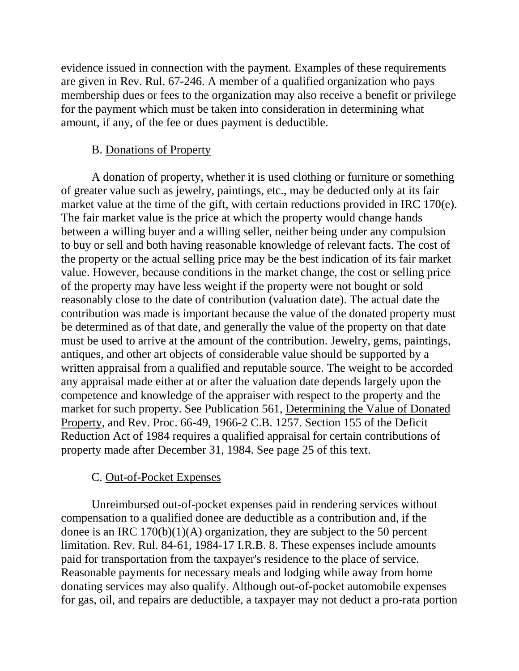evidence issued in connection with the payment. Examples of these requirements are given in Rev. Rul. 67-246. A member of a qualified organization who pays membership dues or fees to the organization may also receive a benefit or privilege for the payment which must be taken into consideration in determining what amount, if any, of the fee or dues payment is deductible.

### B. Donations of Property

A donation of property, whether it is used clothing or furniture or something of greater value such as jewelry, paintings, etc., may be deducted only at its fair market value at the time of the gift, with certain reductions provided in IRC 170(e). The fair market value is the price at which the property would change hands between a willing buyer and a willing seller, neither being under any compulsion to buy or sell and both having reasonable knowledge of relevant facts. The cost of the property or the actual selling price may be the best indication of its fair market value. However, because conditions in the market change, the cost or selling price of the property may have less weight if the property were not bought or sold reasonably close to the date of contribution (valuation date). The actual date the contribution was made is important because the value of the donated property must be determined as of that date, and generally the value of the property on that date must be used to arrive at the amount of the contribution. Jewelry, gems, paintings, antiques, and other art objects of considerable value should be supported by a written appraisal from a qualified and reputable source. The weight to be accorded any appraisal made either at or after the valuation date depends largely upon the competence and knowledge of the appraiser with respect to the property and the market for such property. See Publication 561, Determining the Value of Donated Property, and Rev. Proc. 66-49, 1966-2 C.B. 1257. Section 155 of the Deficit Reduction Act of 1984 requires a qualified appraisal for certain contributions of property made after December 31, 1984. See page 25 of this text.

# C. Out-of-Pocket Expenses

Unreimbursed out-of-pocket expenses paid in rendering services without compensation to a qualified donee are deductible as a contribution and, if the donee is an IRC  $170(b)(1)(A)$  organization, they are subject to the 50 percent limitation. Rev. Rul. 84-61, 1984-17 I.R.B. 8. These expenses include amounts paid for transportation from the taxpayer's residence to the place of service. Reasonable payments for necessary meals and lodging while away from home donating services may also qualify. Although out-of-pocket automobile expenses for gas, oil, and repairs are deductible, a taxpayer may not deduct a pro-rata portion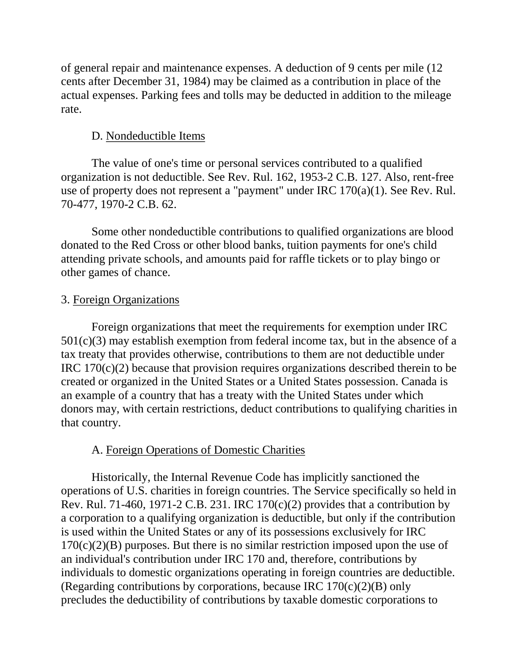of general repair and maintenance expenses. A deduction of 9 cents per mile (12 cents after December 31, 1984) may be claimed as a contribution in place of the actual expenses. Parking fees and tolls may be deducted in addition to the mileage rate.

# D. Nondeductible Items

The value of one's time or personal services contributed to a qualified organization is not deductible. See Rev. Rul. 162, 1953-2 C.B. 127. Also, rent-free use of property does not represent a "payment" under IRC 170(a)(1). See Rev. Rul. 70-477, 1970-2 C.B. 62.

Some other nondeductible contributions to qualified organizations are blood donated to the Red Cross or other blood banks, tuition payments for one's child attending private schools, and amounts paid for raffle tickets or to play bingo or other games of chance.

# 3. Foreign Organizations

Foreign organizations that meet the requirements for exemption under IRC  $501(c)(3)$  may establish exemption from federal income tax, but in the absence of a tax treaty that provides otherwise, contributions to them are not deductible under IRC 170(c)(2) because that provision requires organizations described therein to be created or organized in the United States or a United States possession. Canada is an example of a country that has a treaty with the United States under which donors may, with certain restrictions, deduct contributions to qualifying charities in that country.

# A. Foreign Operations of Domestic Charities

Historically, the Internal Revenue Code has implicitly sanctioned the operations of U.S. charities in foreign countries. The Service specifically so held in Rev. Rul. 71-460, 1971-2 C.B. 231. IRC 170 $(c)(2)$  provides that a contribution by a corporation to a qualifying organization is deductible, but only if the contribution is used within the United States or any of its possessions exclusively for IRC  $170(c)(2)(B)$  purposes. But there is no similar restriction imposed upon the use of an individual's contribution under IRC 170 and, therefore, contributions by individuals to domestic organizations operating in foreign countries are deductible. (Regarding contributions by corporations, because IRC 170(c)(2)(B) only precludes the deductibility of contributions by taxable domestic corporations to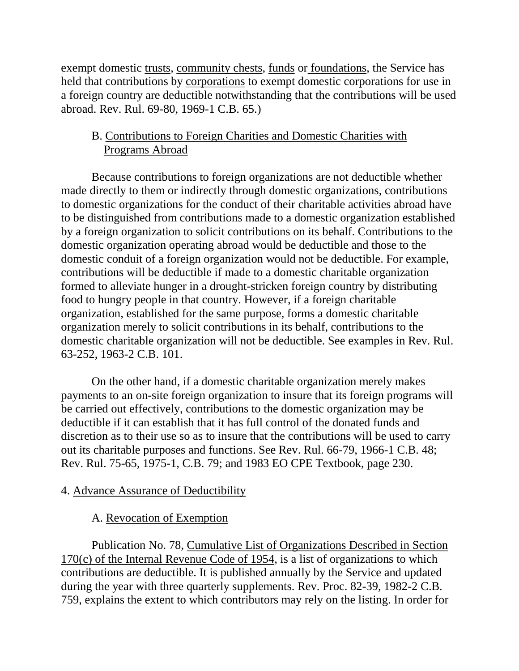exempt domestic trusts, community chests, funds or foundations, the Service has held that contributions by corporations to exempt domestic corporations for use in a foreign country are deductible notwithstanding that the contributions will be used abroad. Rev. Rul. 69-80, 1969-1 C.B. 65.)

# B. Contributions to Foreign Charities and Domestic Charities with Programs Abroad

Because contributions to foreign organizations are not deductible whether made directly to them or indirectly through domestic organizations, contributions to domestic organizations for the conduct of their charitable activities abroad have to be distinguished from contributions made to a domestic organization established by a foreign organization to solicit contributions on its behalf. Contributions to the domestic organization operating abroad would be deductible and those to the domestic conduit of a foreign organization would not be deductible. For example, contributions will be deductible if made to a domestic charitable organization formed to alleviate hunger in a drought-stricken foreign country by distributing food to hungry people in that country. However, if a foreign charitable organization, established for the same purpose, forms a domestic charitable organization merely to solicit contributions in its behalf, contributions to the domestic charitable organization will not be deductible. See examples in Rev. Rul. 63-252, 1963-2 C.B. 101.

On the other hand, if a domestic charitable organization merely makes payments to an on-site foreign organization to insure that its foreign programs will be carried out effectively, contributions to the domestic organization may be deductible if it can establish that it has full control of the donated funds and discretion as to their use so as to insure that the contributions will be used to carry out its charitable purposes and functions. See Rev. Rul. 66-79, 1966-1 C.B. 48; Rev. Rul. 75-65, 1975-1, C.B. 79; and 1983 EO CPE Textbook, page 230.

# 4. Advance Assurance of Deductibility

# A. Revocation of Exemption

Publication No. 78, Cumulative List of Organizations Described in Section 170(c) of the Internal Revenue Code of 1954, is a list of organizations to which contributions are deductible. It is published annually by the Service and updated during the year with three quarterly supplements. Rev. Proc. 82-39, 1982-2 C.B. 759, explains the extent to which contributors may rely on the listing. In order for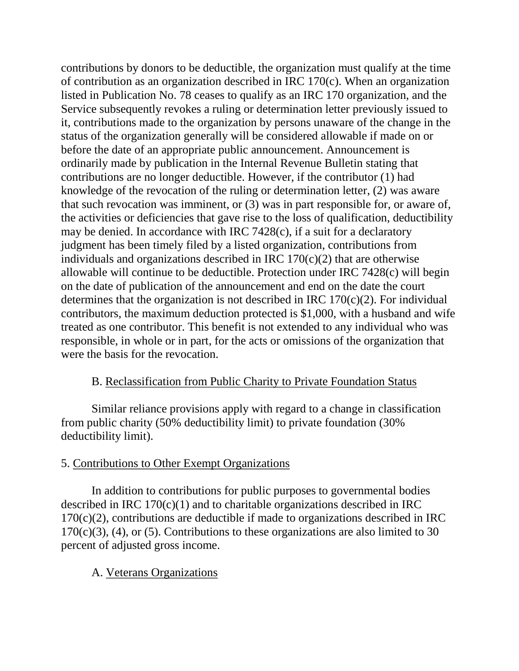contributions by donors to be deductible, the organization must qualify at the time of contribution as an organization described in IRC 170(c). When an organization listed in Publication No. 78 ceases to qualify as an IRC 170 organization, and the Service subsequently revokes a ruling or determination letter previously issued to it, contributions made to the organization by persons unaware of the change in the status of the organization generally will be considered allowable if made on or before the date of an appropriate public announcement. Announcement is ordinarily made by publication in the Internal Revenue Bulletin stating that contributions are no longer deductible. However, if the contributor (1) had knowledge of the revocation of the ruling or determination letter, (2) was aware that such revocation was imminent, or (3) was in part responsible for, or aware of, the activities or deficiencies that gave rise to the loss of qualification, deductibility may be denied. In accordance with IRC 7428(c), if a suit for a declaratory judgment has been timely filed by a listed organization, contributions from individuals and organizations described in IRC  $170(c)(2)$  that are otherwise allowable will continue to be deductible. Protection under IRC 7428(c) will begin on the date of publication of the announcement and end on the date the court determines that the organization is not described in IRC  $170(c)(2)$ . For individual contributors, the maximum deduction protected is \$1,000, with a husband and wife treated as one contributor. This benefit is not extended to any individual who was responsible, in whole or in part, for the acts or omissions of the organization that were the basis for the revocation.

# B. Reclassification from Public Charity to Private Foundation Status

Similar reliance provisions apply with regard to a change in classification from public charity (50% deductibility limit) to private foundation (30% deductibility limit).

# 5. Contributions to Other Exempt Organizations

In addition to contributions for public purposes to governmental bodies described in IRC  $170(c)(1)$  and to charitable organizations described in IRC  $170(c)(2)$ , contributions are deductible if made to organizations described in IRC  $170(c)(3)$ , (4), or (5). Contributions to these organizations are also limited to 30 percent of adjusted gross income.

# A. Veterans Organizations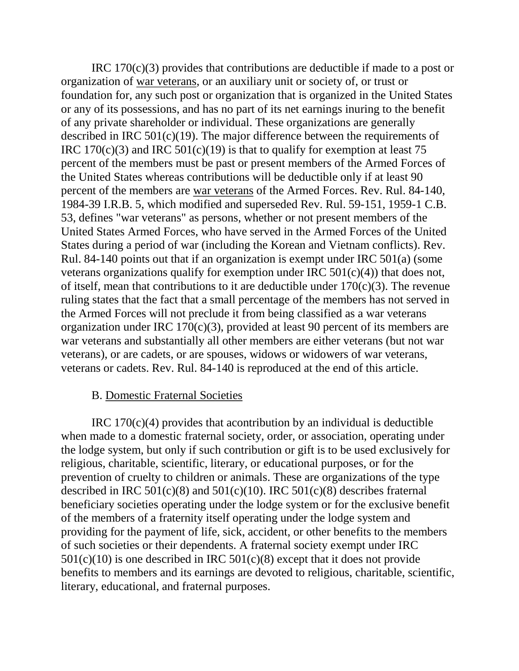IRC 170(c)(3) provides that contributions are deductible if made to a post or organization of war veterans, or an auxiliary unit or society of, or trust or foundation for, any such post or organization that is organized in the United States or any of its possessions, and has no part of its net earnings inuring to the benefit of any private shareholder or individual. These organizations are generally described in IRC 501(c)(19). The major difference between the requirements of IRC 170(c)(3) and IRC 501(c)(19) is that to qualify for exemption at least 75 percent of the members must be past or present members of the Armed Forces of the United States whereas contributions will be deductible only if at least 90 percent of the members are war veterans of the Armed Forces. Rev. Rul. 84-140, 1984-39 I.R.B. 5, which modified and superseded Rev. Rul. 59-151, 1959-1 C.B. 53, defines "war veterans" as persons, whether or not present members of the United States Armed Forces, who have served in the Armed Forces of the United States during a period of war (including the Korean and Vietnam conflicts). Rev. Rul. 84-140 points out that if an organization is exempt under IRC 501(a) (some veterans organizations qualify for exemption under IRC 501(c)(4)) that does not, of itself, mean that contributions to it are deductible under  $170(c)(3)$ . The revenue ruling states that the fact that a small percentage of the members has not served in the Armed Forces will not preclude it from being classified as a war veterans organization under IRC 170(c)(3), provided at least 90 percent of its members are war veterans and substantially all other members are either veterans (but not war veterans), or are cadets, or are spouses, widows or widowers of war veterans, veterans or cadets. Rev. Rul. 84-140 is reproduced at the end of this article.

### B. Domestic Fraternal Societies

IRC  $170(c)(4)$  provides that acontribution by an individual is deductible when made to a domestic fraternal society, order, or association, operating under the lodge system, but only if such contribution or gift is to be used exclusively for religious, charitable, scientific, literary, or educational purposes, or for the prevention of cruelty to children or animals. These are organizations of the type described in IRC  $501(c)(8)$  and  $501(c)(10)$ . IRC  $501(c)(8)$  describes fraternal beneficiary societies operating under the lodge system or for the exclusive benefit of the members of a fraternity itself operating under the lodge system and providing for the payment of life, sick, accident, or other benefits to the members of such societies or their dependents. A fraternal society exempt under IRC  $501(c)(10)$  is one described in IRC  $501(c)(8)$  except that it does not provide benefits to members and its earnings are devoted to religious, charitable, scientific, literary, educational, and fraternal purposes.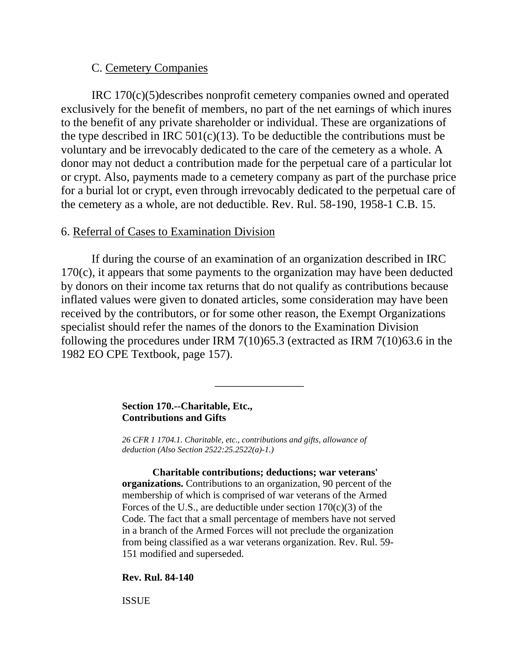### C. Cemetery Companies

IRC 170(c)(5)describes nonprofit cemetery companies owned and operated exclusively for the benefit of members, no part of the net earnings of which inures to the benefit of any private shareholder or individual. These are organizations of the type described in IRC  $501(c)(13)$ . To be deductible the contributions must be voluntary and be irrevocably dedicated to the care of the cemetery as a whole. A donor may not deduct a contribution made for the perpetual care of a particular lot or crypt. Also, payments made to a cemetery company as part of the purchase price for a burial lot or crypt, even through irrevocably dedicated to the perpetual care of the cemetery as a whole, are not deductible. Rev. Rul. 58-190, 1958-1 C.B. 15.

#### 6. Referral of Cases to Examination Division

If during the course of an examination of an organization described in IRC 170(c), it appears that some payments to the organization may have been deducted by donors on their income tax returns that do not qualify as contributions because inflated values were given to donated articles, some consideration may have been received by the contributors, or for some other reason, the Exempt Organizations specialist should refer the names of the donors to the Examination Division following the procedures under IRM 7(10)65.3 (extracted as IRM 7(10)63.6 in the 1982 EO CPE Textbook, page 157).

\_\_\_\_\_\_\_\_\_\_\_\_\_\_\_

#### **Section 170.--Charitable, Etc., Contributions and Gifts**

*26 CFR 1 1704.1. Charitable, etc., contributions and gifts, allowance of deduction (Also Section 2522:25.2522(a)-1.)* 

**Charitable contributions; deductions; war veterans' organizations.** Contributions to an organization, 90 percent of the membership of which is comprised of war veterans of the Armed Forces of the U.S., are deductible under section  $170(c)(3)$  of the Code. The fact that a small percentage of members have not served in a branch of the Armed Forces will not preclude the organization from being classified as a war veterans organization. Rev. Rul. 59- 151 modified and superseded.

#### **Rev. Rul. 84-140**

ISSUE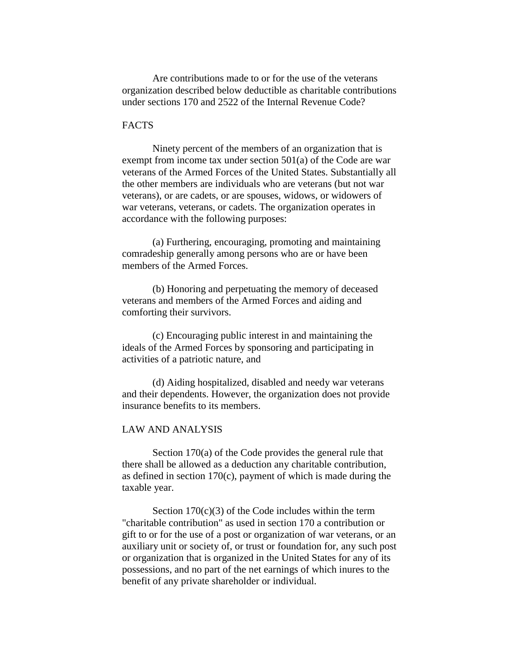Are contributions made to or for the use of the veterans organization described below deductible as charitable contributions under sections 170 and 2522 of the Internal Revenue Code?

#### **FACTS**

Ninety percent of the members of an organization that is exempt from income tax under section 501(a) of the Code are war veterans of the Armed Forces of the United States. Substantially all the other members are individuals who are veterans (but not war veterans), or are cadets, or are spouses, widows, or widowers of war veterans, veterans, or cadets. The organization operates in accordance with the following purposes:

(a) Furthering, encouraging, promoting and maintaining comradeship generally among persons who are or have been members of the Armed Forces.

(b) Honoring and perpetuating the memory of deceased veterans and members of the Armed Forces and aiding and comforting their survivors.

(c) Encouraging public interest in and maintaining the ideals of the Armed Forces by sponsoring and participating in activities of a patriotic nature, and

(d) Aiding hospitalized, disabled and needy war veterans and their dependents. However, the organization does not provide insurance benefits to its members.

#### LAW AND ANALYSIS

Section 170(a) of the Code provides the general rule that there shall be allowed as a deduction any charitable contribution, as defined in section 170(c), payment of which is made during the taxable year.

Section  $170(c)(3)$  of the Code includes within the term "charitable contribution" as used in section 170 a contribution or gift to or for the use of a post or organization of war veterans, or an auxiliary unit or society of, or trust or foundation for, any such post or organization that is organized in the United States for any of its possessions, and no part of the net earnings of which inures to the benefit of any private shareholder or individual.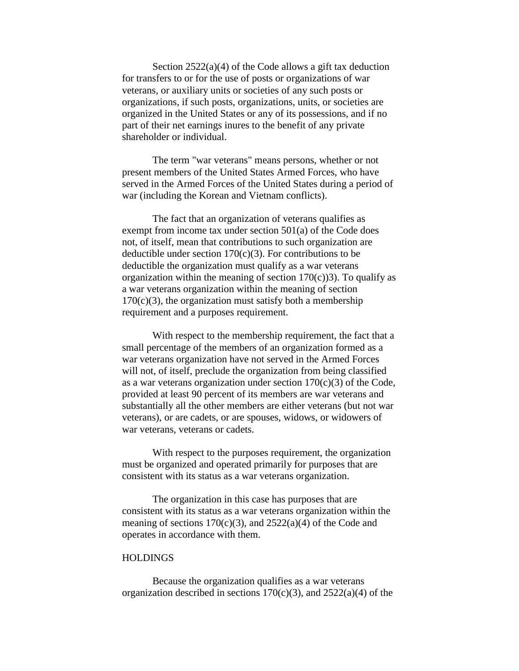Section  $2522(a)(4)$  of the Code allows a gift tax deduction for transfers to or for the use of posts or organizations of war veterans, or auxiliary units or societies of any such posts or organizations, if such posts, organizations, units, or societies are organized in the United States or any of its possessions, and if no part of their net earnings inures to the benefit of any private shareholder or individual.

The term "war veterans" means persons, whether or not present members of the United States Armed Forces, who have served in the Armed Forces of the United States during a period of war (including the Korean and Vietnam conflicts).

The fact that an organization of veterans qualifies as exempt from income tax under section 501(a) of the Code does not, of itself, mean that contributions to such organization are deductible under section 170(c)(3). For contributions to be deductible the organization must qualify as a war veterans organization within the meaning of section  $170(c)$ )3). To qualify as a war veterans organization within the meaning of section  $170(c)(3)$ , the organization must satisfy both a membership requirement and a purposes requirement.

With respect to the membership requirement, the fact that a small percentage of the members of an organization formed as a war veterans organization have not served in the Armed Forces will not, of itself, preclude the organization from being classified as a war veterans organization under section  $170(c)(3)$  of the Code, provided at least 90 percent of its members are war veterans and substantially all the other members are either veterans (but not war veterans), or are cadets, or are spouses, widows, or widowers of war veterans, veterans or cadets.

With respect to the purposes requirement, the organization must be organized and operated primarily for purposes that are consistent with its status as a war veterans organization.

The organization in this case has purposes that are consistent with its status as a war veterans organization within the meaning of sections  $170(c)(3)$ , and  $2522(a)(4)$  of the Code and operates in accordance with them.

#### **HOLDINGS**

Because the organization qualifies as a war veterans organization described in sections  $170(c)(3)$ , and  $2522(a)(4)$  of the